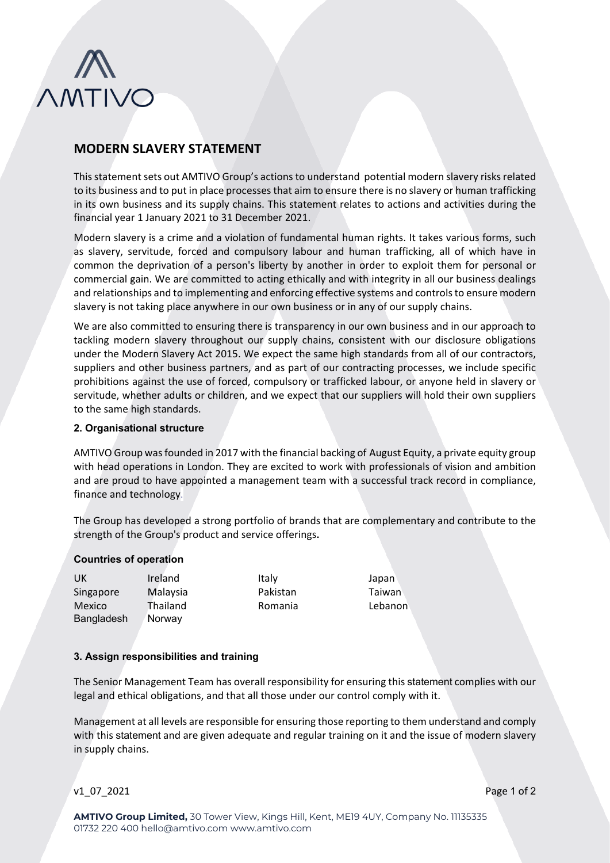

# **MODERN SLAVERY STATEMENT**

This statement sets out AMTIVO Group's actions to understand potential modern slavery risks related to its business and to put in place processes that aim to ensure there is no slavery or human trafficking in its own business and its supply chains. This statement relates to actions and activities during the financial year 1 January 2021 to 31 December 2021.

Modern slavery is a crime and a violation of fundamental human rights. It takes various forms, such as slavery, servitude, forced and compulsory labour and human trafficking, all of which have in common the deprivation of a person's liberty by another in order to exploit them for personal or commercial gain. We are committed to acting ethically and with integrity in all our business dealings and relationships and to implementing and enforcing effective systems and controls to ensure modern slavery is not taking place anywhere in our own business or in any of our supply chains.

We are also committed to ensuring there is transparency in our own business and in our approach to tackling modern slavery throughout our supply chains, consistent with our disclosure obligations under the Modern Slavery Act 2015. We expect the same high standards from all of our contractors, suppliers and other business partners, and as part of our contracting processes, we include specific prohibitions against the use of forced, compulsory or trafficked labour, or anyone held in slavery or servitude, whether adults or children, and we expect that our suppliers will hold their own suppliers to the same high standards.

### **2. Organisational structure**

AMTIVO Group was founded in 2017 with the financial backing of August Equity, a private equity group with head operations in London. They are excited to work with professionals of vision and ambition and are proud to have appointed a management team with a successful track record in compliance, finance and technology.

The Group has developed a strong portfolio of brands that are complementary and contribute to the strength of the Group's product and service offerings**.**

#### **Countries of operation**

UK Ireland Italy Japan Singapore Malaysia Pakistan Taiwan Mexico Thailand Romania Lebanon Bangladesh Norway

# **3. Assign responsibilities and training**

The Senior Management Team has overall responsibility for ensuring this statement complies with our legal and ethical obligations, and that all those under our control comply with it.

Management at all levels are responsible for ensuring those reporting to them understand and comply with this statement and are given adequate and regular training on it and the issue of modern slavery in supply chains.

v1 07 2021 Page 1 of 2

**AMTIVO Group Limited,** 30 Tower View, Kings Hill, Kent, ME19 4UY, Company No. 11135335 01732 220 400 hello@amtivo.com www.amtivo.com